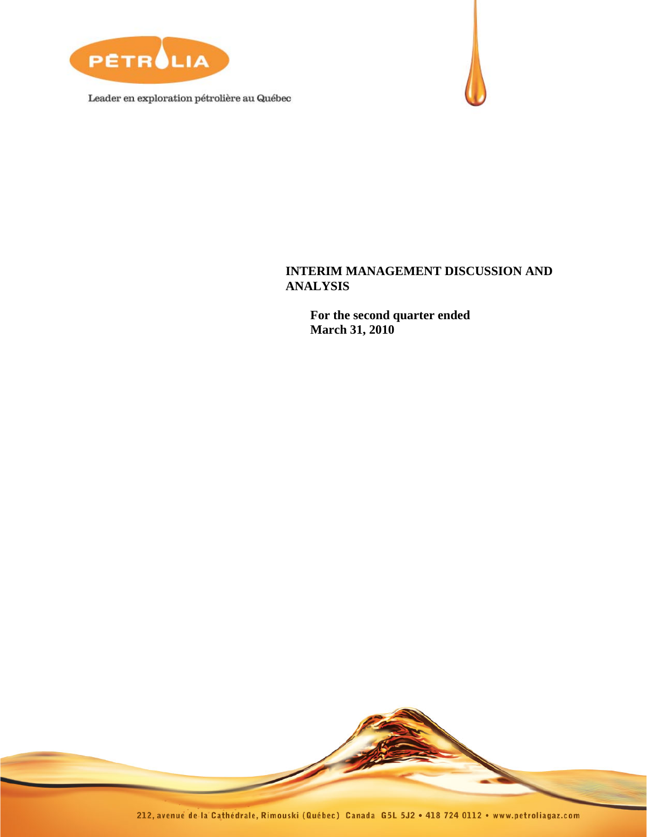

Leader en exploration pétrolière au Québec



# **INTERIM MANAGEMENT DISCUSSION AND ANALYSIS**

 **For the second quarter ended March 31, 2010** 

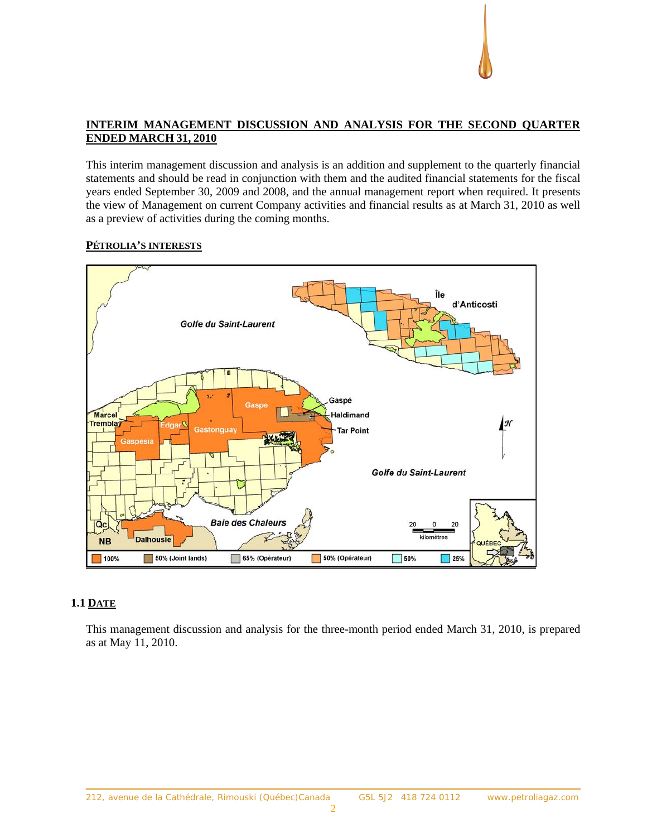# **INTERIM MANAGEMENT DISCUSSION AND ANALYSIS FOR THE SECOND QUARTER ENDED MARCH 31, 2010**

This interim management discussion and analysis is an addition and supplement to the quarterly financial statements and should be read in conjunction with them and the audited financial statements for the fiscal years ended September 30, 2009 and 2008, and the annual management report when required. It presents the view of Management on current Company activities and financial results as at March 31, 2010 as well as a preview of activities during the coming months.

# **PÉTROLIA'S INTERESTS**



# **1.1 DATE**

This management discussion and analysis for the three-month period ended March 31, 2010, is prepared as at May 11, 2010.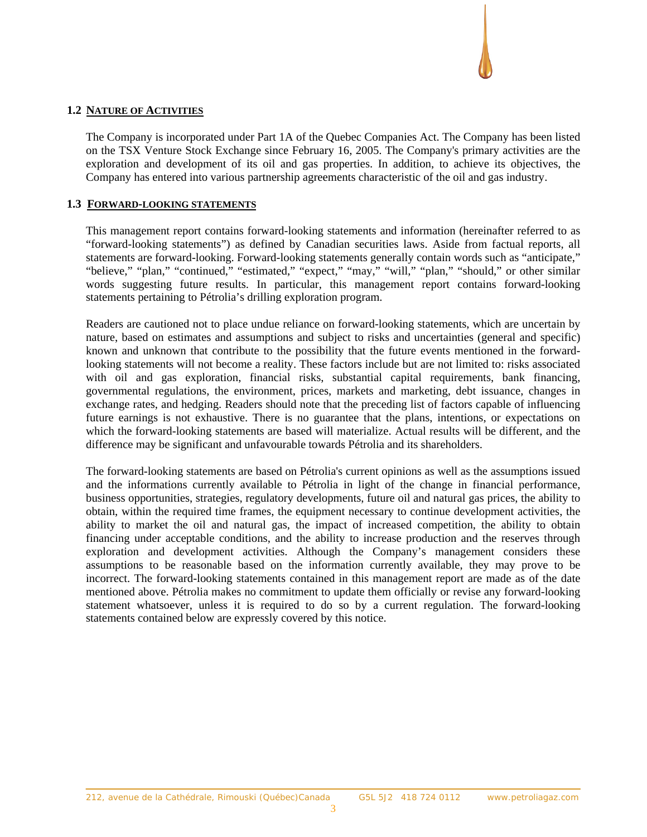#### **1.2 NATURE OF ACTIVITIES**

The Company is incorporated under Part 1A of the Quebec Companies Act. The Company has been listed on the TSX Venture Stock Exchange since February 16, 2005. The Company's primary activities are the exploration and development of its oil and gas properties. In addition, to achieve its objectives, the Company has entered into various partnership agreements characteristic of the oil and gas industry.

#### **1.3 FORWARD-LOOKING STATEMENTS**

This management report contains forward-looking statements and information (hereinafter referred to as "forward-looking statements") as defined by Canadian securities laws. Aside from factual reports, all statements are forward-looking. Forward-looking statements generally contain words such as "anticipate," "believe," "plan," "continued," "estimated," "expect," "may," "will," "plan," "should," or other similar words suggesting future results. In particular, this management report contains forward-looking statements pertaining to Pétrolia's drilling exploration program.

Readers are cautioned not to place undue reliance on forward-looking statements, which are uncertain by nature, based on estimates and assumptions and subject to risks and uncertainties (general and specific) known and unknown that contribute to the possibility that the future events mentioned in the forwardlooking statements will not become a reality. These factors include but are not limited to: risks associated with oil and gas exploration, financial risks, substantial capital requirements, bank financing, governmental regulations, the environment, prices, markets and marketing, debt issuance, changes in exchange rates, and hedging. Readers should note that the preceding list of factors capable of influencing future earnings is not exhaustive. There is no guarantee that the plans, intentions, or expectations on which the forward-looking statements are based will materialize. Actual results will be different, and the difference may be significant and unfavourable towards Pétrolia and its shareholders.

The forward-looking statements are based on Pétrolia's current opinions as well as the assumptions issued and the informations currently available to Pétrolia in light of the change in financial performance, business opportunities, strategies, regulatory developments, future oil and natural gas prices, the ability to obtain, within the required time frames, the equipment necessary to continue development activities, the ability to market the oil and natural gas, the impact of increased competition, the ability to obtain financing under acceptable conditions, and the ability to increase production and the reserves through exploration and development activities. Although the Company's management considers these assumptions to be reasonable based on the information currently available, they may prove to be incorrect. The forward-looking statements contained in this management report are made as of the date mentioned above. Pétrolia makes no commitment to update them officially or revise any forward-looking statement whatsoever, unless it is required to do so by a current regulation. The forward-looking statements contained below are expressly covered by this notice.

3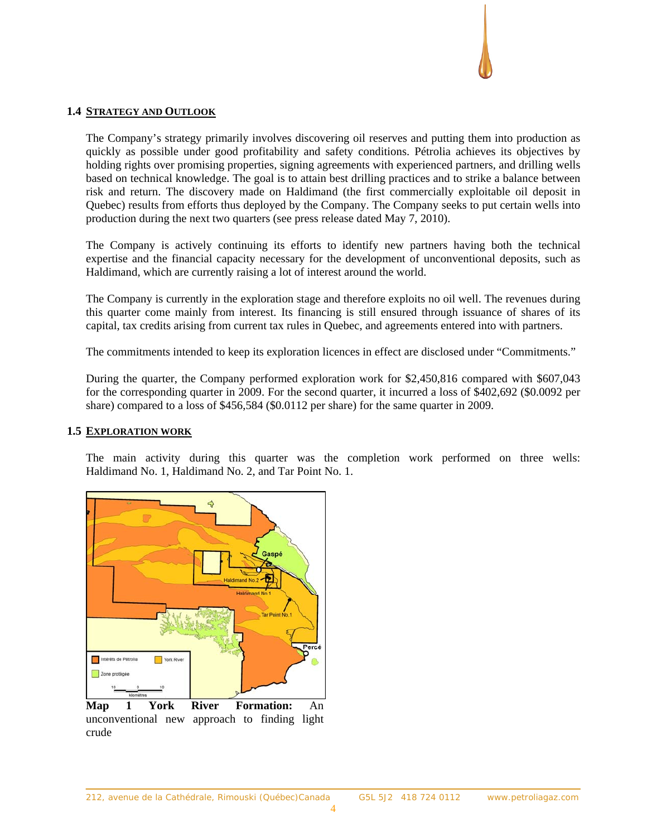#### **1.4 STRATEGY AND OUTLOOK**

The Company's strategy primarily involves discovering oil reserves and putting them into production as quickly as possible under good profitability and safety conditions. Pétrolia achieves its objectives by holding rights over promising properties, signing agreements with experienced partners, and drilling wells based on technical knowledge. The goal is to attain best drilling practices and to strike a balance between risk and return. The discovery made on Haldimand (the first commercially exploitable oil deposit in Quebec) results from efforts thus deployed by the Company. The Company seeks to put certain wells into production during the next two quarters (see press release dated May 7, 2010).

The Company is actively continuing its efforts to identify new partners having both the technical expertise and the financial capacity necessary for the development of unconventional deposits, such as Haldimand, which are currently raising a lot of interest around the world.

The Company is currently in the exploration stage and therefore exploits no oil well. The revenues during this quarter come mainly from interest. Its financing is still ensured through issuance of shares of its capital, tax credits arising from current tax rules in Quebec, and agreements entered into with partners.

The commitments intended to keep its exploration licences in effect are disclosed under "Commitments."

During the quarter, the Company performed exploration work for \$2,450,816 compared with \$607,043 for the corresponding quarter in 2009. For the second quarter, it incurred a loss of \$402,692 (\$0.0092 per share) compared to a loss of \$456,584 (\$0.0112 per share) for the same quarter in 2009.

#### **1.5 EXPLORATION WORK**

The main activity during this quarter was the completion work performed on three wells: Haldimand No. 1, Haldimand No. 2, and Tar Point No. 1.



unconventional new approach to finding light crude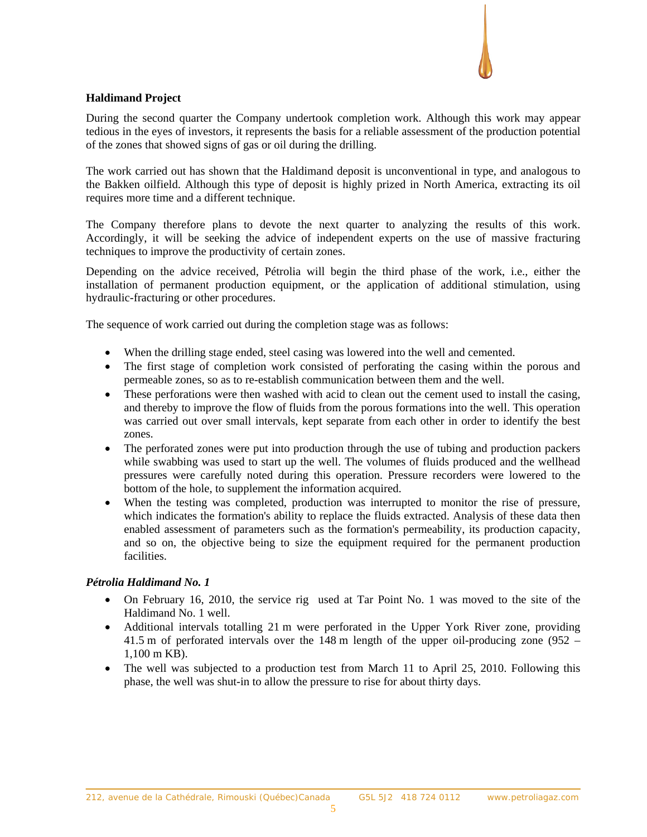

### **Haldimand Project**

During the second quarter the Company undertook completion work. Although this work may appear tedious in the eyes of investors, it represents the basis for a reliable assessment of the production potential of the zones that showed signs of gas or oil during the drilling.

The work carried out has shown that the Haldimand deposit is unconventional in type, and analogous to the Bakken oilfield. Although this type of deposit is highly prized in North America, extracting its oil requires more time and a different technique.

The Company therefore plans to devote the next quarter to analyzing the results of this work. Accordingly, it will be seeking the advice of independent experts on the use of massive fracturing techniques to improve the productivity of certain zones.

Depending on the advice received, Pétrolia will begin the third phase of the work, i.e., either the installation of permanent production equipment, or the application of additional stimulation, using hydraulic-fracturing or other procedures.

The sequence of work carried out during the completion stage was as follows:

- When the drilling stage ended, steel casing was lowered into the well and cemented.
- The first stage of completion work consisted of perforating the casing within the porous and permeable zones, so as to re-establish communication between them and the well.
- These perforations were then washed with acid to clean out the cement used to install the casing, and thereby to improve the flow of fluids from the porous formations into the well. This operation was carried out over small intervals, kept separate from each other in order to identify the best zones.
- The perforated zones were put into production through the use of tubing and production packers while swabbing was used to start up the well. The volumes of fluids produced and the wellhead pressures were carefully noted during this operation. Pressure recorders were lowered to the bottom of the hole, to supplement the information acquired.
- When the testing was completed, production was interrupted to monitor the rise of pressure, which indicates the formation's ability to replace the fluids extracted. Analysis of these data then enabled assessment of parameters such as the formation's permeability, its production capacity, and so on, the objective being to size the equipment required for the permanent production facilities.

#### *Pétrolia Haldimand No. 1*

- On February 16, 2010, the service rig used at Tar Point No. 1 was moved to the site of the Haldimand No. 1 well.
- Additional intervals totalling 21 m were perforated in the Upper York River zone, providing 41.5 m of perforated intervals over the 148 m length of the upper oil-producing zone (952 – 1,100 m KB).
- The well was subjected to a production test from March 11 to April 25, 2010. Following this phase, the well was shut-in to allow the pressure to rise for about thirty days.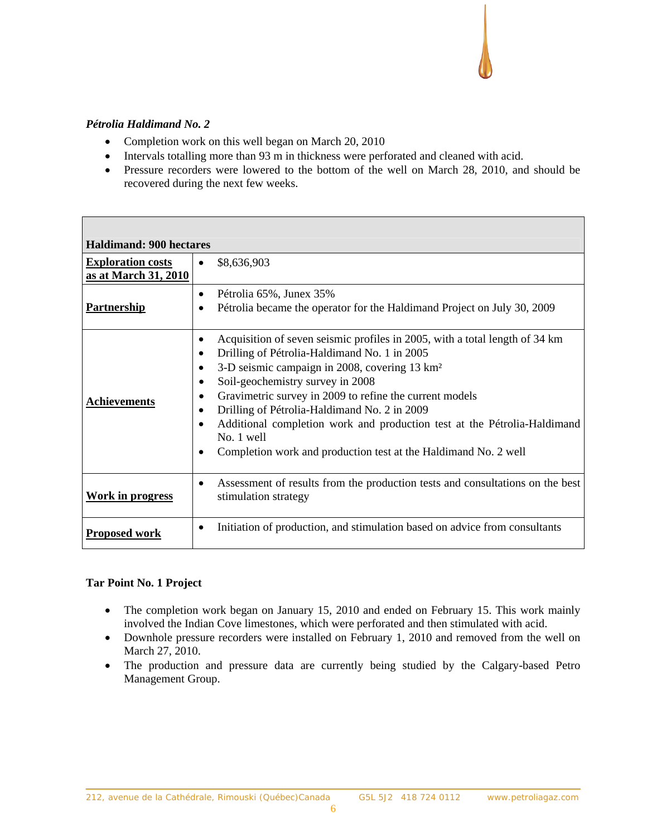# *Pétrolia Haldimand No. 2*

 $\overline{\phantom{a}}$ 

- Completion work on this well began on March 20, 2010
- Intervals totalling more than 93 m in thickness were perforated and cleaned with acid.
- Pressure recorders were lowered to the bottom of the well on March 28, 2010, and should be recovered during the next few weeks.

| <b>Haldimand: 900 hectares</b>                   |                                                                                                                                                                                                                                                                                                                                                                                                                                                                                                                                               |
|--------------------------------------------------|-----------------------------------------------------------------------------------------------------------------------------------------------------------------------------------------------------------------------------------------------------------------------------------------------------------------------------------------------------------------------------------------------------------------------------------------------------------------------------------------------------------------------------------------------|
| <b>Exploration costs</b><br>as at March 31, 2010 | \$8,636,903<br>$\bullet$                                                                                                                                                                                                                                                                                                                                                                                                                                                                                                                      |
| <b>Partnership</b>                               | Pétrolia 65%, Junex 35%<br>$\bullet$<br>Pétrolia became the operator for the Haldimand Project on July 30, 2009                                                                                                                                                                                                                                                                                                                                                                                                                               |
| <b>Achievements</b>                              | Acquisition of seven seismic profiles in 2005, with a total length of 34 km<br>$\bullet$<br>Drilling of Pétrolia-Haldimand No. 1 in 2005<br>٠<br>3-D seismic campaign in 2008, covering 13 km <sup>2</sup><br>Soil-geochemistry survey in 2008<br>$\bullet$<br>Gravimetric survey in 2009 to refine the current models<br>Drilling of Pétrolia-Haldimand No. 2 in 2009<br>Additional completion work and production test at the Pétrolia-Haldimand<br>٠<br>No. 1 well<br>Completion work and production test at the Haldimand No. 2 well<br>٠ |
| Work in progress                                 | Assessment of results from the production tests and consultations on the best<br>$\bullet$<br>stimulation strategy                                                                                                                                                                                                                                                                                                                                                                                                                            |
| <b>Proposed work</b>                             | Initiation of production, and stimulation based on advice from consultants<br>٠                                                                                                                                                                                                                                                                                                                                                                                                                                                               |

#### **Tar Point No. 1 Project**

- The completion work began on January 15, 2010 and ended on February 15. This work mainly involved the Indian Cove limestones, which were perforated and then stimulated with acid.
- Downhole pressure recorders were installed on February 1, 2010 and removed from the well on March 27, 2010.
- The production and pressure data are currently being studied by the Calgary-based Petro Management Group.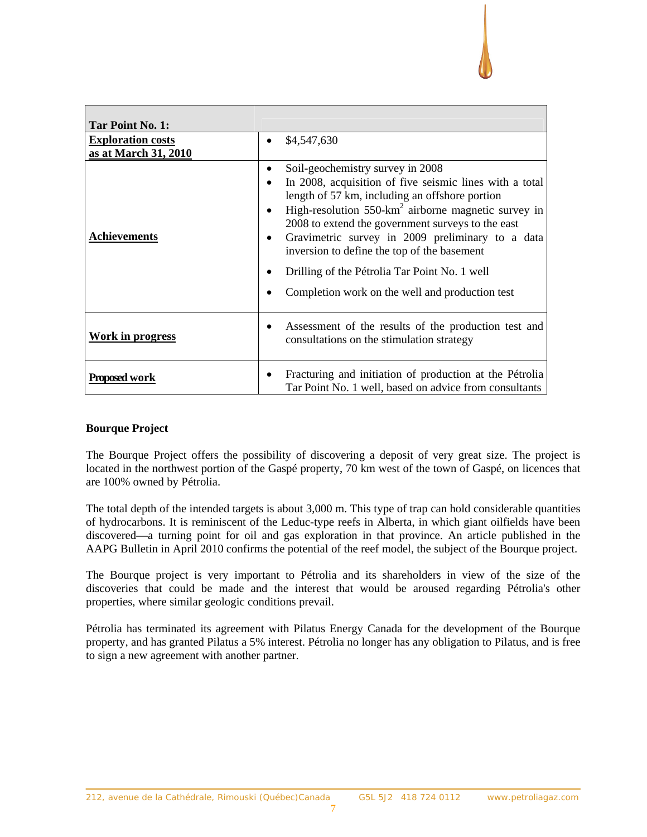

| Tar Point No. 1:         |                                                                                                                                                                                                                                                                                                                                                                                                                                                                                 |
|--------------------------|---------------------------------------------------------------------------------------------------------------------------------------------------------------------------------------------------------------------------------------------------------------------------------------------------------------------------------------------------------------------------------------------------------------------------------------------------------------------------------|
| <b>Exploration costs</b> | \$4,547,630                                                                                                                                                                                                                                                                                                                                                                                                                                                                     |
| as at March 31, 2010     |                                                                                                                                                                                                                                                                                                                                                                                                                                                                                 |
| <b>Achievements</b>      | Soil-geochemistry survey in 2008<br>In 2008, acquisition of five seismic lines with a total<br>length of 57 km, including an offshore portion<br>High-resolution $550$ -km <sup>2</sup> airborne magnetic survey in<br>2008 to extend the government surveys to the east<br>Gravimetric survey in 2009 preliminary to a data<br>inversion to define the top of the basement<br>Drilling of the Pétrolia Tar Point No. 1 well<br>Completion work on the well and production test |
| Work in progress         | Assessment of the results of the production test and<br>consultations on the stimulation strategy                                                                                                                                                                                                                                                                                                                                                                               |
| Proposed work            | Fracturing and initiation of production at the Pétrolia<br>Tar Point No. 1 well, based on advice from consultants                                                                                                                                                                                                                                                                                                                                                               |

#### **Bourque Project**

The Bourque Project offers the possibility of discovering a deposit of very great size. The project is located in the northwest portion of the Gaspé property, 70 km west of the town of Gaspé, on licences that are 100% owned by Pétrolia.

The total depth of the intended targets is about 3,000 m. This type of trap can hold considerable quantities of hydrocarbons. It is reminiscent of the Leduc-type reefs in Alberta, in which giant oilfields have been discovered—a turning point for oil and gas exploration in that province. An article published in the AAPG Bulletin in April 2010 confirms the potential of the reef model, the subject of the Bourque project.

The Bourque project is very important to Pétrolia and its shareholders in view of the size of the discoveries that could be made and the interest that would be aroused regarding Pétrolia's other properties, where similar geologic conditions prevail.

Pétrolia has terminated its agreement with Pilatus Energy Canada for the development of the Bourque property, and has granted Pilatus a 5% interest. Pétrolia no longer has any obligation to Pilatus, and is free to sign a new agreement with another partner.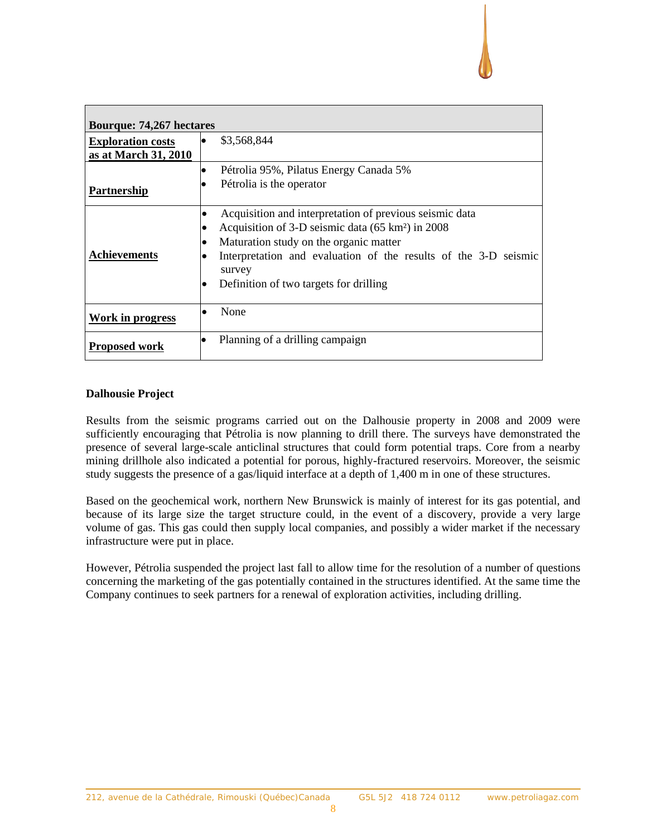

| <b>Bourque: 74,267 hectares</b>                  |                                  |                                                                                                                                                                                                                                                                                           |  |  |  |
|--------------------------------------------------|----------------------------------|-------------------------------------------------------------------------------------------------------------------------------------------------------------------------------------------------------------------------------------------------------------------------------------------|--|--|--|
| <b>Exploration costs</b><br>as at March 31, 2010 |                                  | \$3,568,844                                                                                                                                                                                                                                                                               |  |  |  |
| Partnership                                      | $\bullet$                        | Pétrolia 95%, Pilatus Energy Canada 5%<br>Pétrolia is the operator                                                                                                                                                                                                                        |  |  |  |
| <b>Achievements</b>                              | ٠<br>٠<br>$\bullet$<br>$\bullet$ | Acquisition and interpretation of previous seismic data<br>Acquisition of 3-D seismic data (65 km <sup>2</sup> ) in 2008<br>Maturation study on the organic matter<br>Interpretation and evaluation of the results of the 3-D seismic<br>survey<br>Definition of two targets for drilling |  |  |  |
| Work in progress                                 | ٠                                | None                                                                                                                                                                                                                                                                                      |  |  |  |
| <b>Proposed work</b>                             |                                  | Planning of a drilling campaign                                                                                                                                                                                                                                                           |  |  |  |

#### **Dalhousie Project**

Results from the seismic programs carried out on the Dalhousie property in 2008 and 2009 were sufficiently encouraging that Pétrolia is now planning to drill there. The surveys have demonstrated the presence of several large-scale anticlinal structures that could form potential traps. Core from a nearby mining drillhole also indicated a potential for porous, highly-fractured reservoirs. Moreover, the seismic study suggests the presence of a gas/liquid interface at a depth of 1,400 m in one of these structures.

Based on the geochemical work, northern New Brunswick is mainly of interest for its gas potential, and because of its large size the target structure could, in the event of a discovery, provide a very large volume of gas. This gas could then supply local companies, and possibly a wider market if the necessary infrastructure were put in place.

However, Pétrolia suspended the project last fall to allow time for the resolution of a number of questions concerning the marketing of the gas potentially contained in the structures identified. At the same time the Company continues to seek partners for a renewal of exploration activities, including drilling.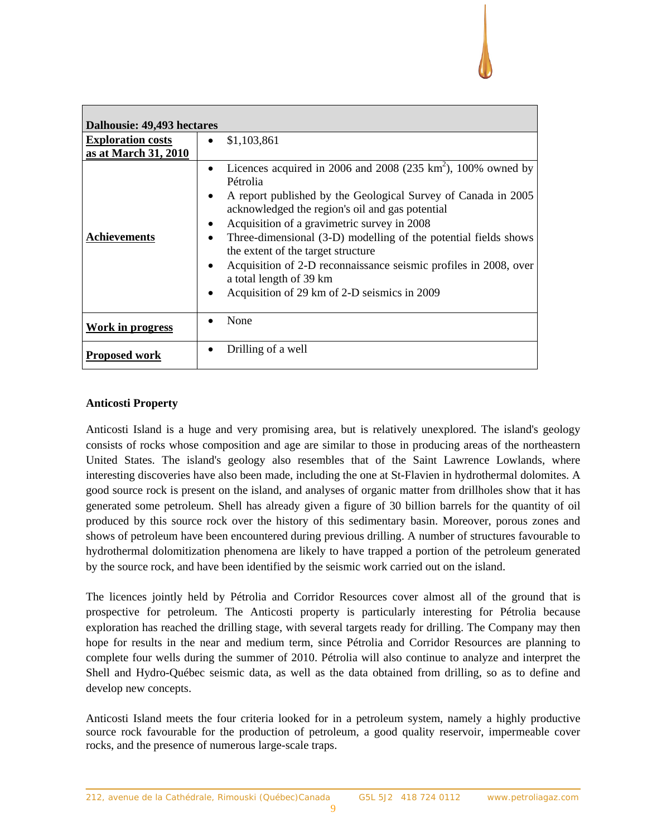

| Dalhousie: 49,493 hectares |                                                                                                                                                                                                                                                                                                                                                                                                                                                                                                                                                |  |  |  |  |
|----------------------------|------------------------------------------------------------------------------------------------------------------------------------------------------------------------------------------------------------------------------------------------------------------------------------------------------------------------------------------------------------------------------------------------------------------------------------------------------------------------------------------------------------------------------------------------|--|--|--|--|
| <b>Exploration costs</b>   | \$1,103,861<br>$\bullet$                                                                                                                                                                                                                                                                                                                                                                                                                                                                                                                       |  |  |  |  |
| as at March 31, 2010       |                                                                                                                                                                                                                                                                                                                                                                                                                                                                                                                                                |  |  |  |  |
| <b>Achievements</b>        | Licences acquired in 2006 and 2008 (235 km <sup>2</sup> ), 100% owned by<br>Pétrolia<br>A report published by the Geological Survey of Canada in 2005<br>$\bullet$<br>acknowledged the region's oil and gas potential<br>Acquisition of a gravimetric survey in 2008<br>Three-dimensional (3-D) modelling of the potential fields shows<br>٠<br>the extent of the target structure<br>Acquisition of 2-D reconnaissance seismic profiles in 2008, over<br>$\bullet$<br>a total length of 39 km<br>Acquisition of 29 km of 2-D seismics in 2009 |  |  |  |  |
| Work in progress           | None                                                                                                                                                                                                                                                                                                                                                                                                                                                                                                                                           |  |  |  |  |
|                            | Drilling of a well                                                                                                                                                                                                                                                                                                                                                                                                                                                                                                                             |  |  |  |  |
| <b>Proposed work</b>       |                                                                                                                                                                                                                                                                                                                                                                                                                                                                                                                                                |  |  |  |  |

#### **Anticosti Property**

Anticosti Island is a huge and very promising area, but is relatively unexplored. The island's geology consists of rocks whose composition and age are similar to those in producing areas of the northeastern United States. The island's geology also resembles that of the Saint Lawrence Lowlands, where interesting discoveries have also been made, including the one at St-Flavien in hydrothermal dolomites. A good source rock is present on the island, and analyses of organic matter from drillholes show that it has generated some petroleum. Shell has already given a figure of 30 billion barrels for the quantity of oil produced by this source rock over the history of this sedimentary basin. Moreover, porous zones and shows of petroleum have been encountered during previous drilling. A number of structures favourable to hydrothermal dolomitization phenomena are likely to have trapped a portion of the petroleum generated by the source rock, and have been identified by the seismic work carried out on the island.

The licences jointly held by Pétrolia and Corridor Resources cover almost all of the ground that is prospective for petroleum. The Anticosti property is particularly interesting for Pétrolia because exploration has reached the drilling stage, with several targets ready for drilling. The Company may then hope for results in the near and medium term, since Pétrolia and Corridor Resources are planning to complete four wells during the summer of 2010. Pétrolia will also continue to analyze and interpret the Shell and Hydro-Québec seismic data, as well as the data obtained from drilling, so as to define and develop new concepts.

Anticosti Island meets the four criteria looked for in a petroleum system, namely a highly productive source rock favourable for the production of petroleum, a good quality reservoir, impermeable cover rocks, and the presence of numerous large-scale traps.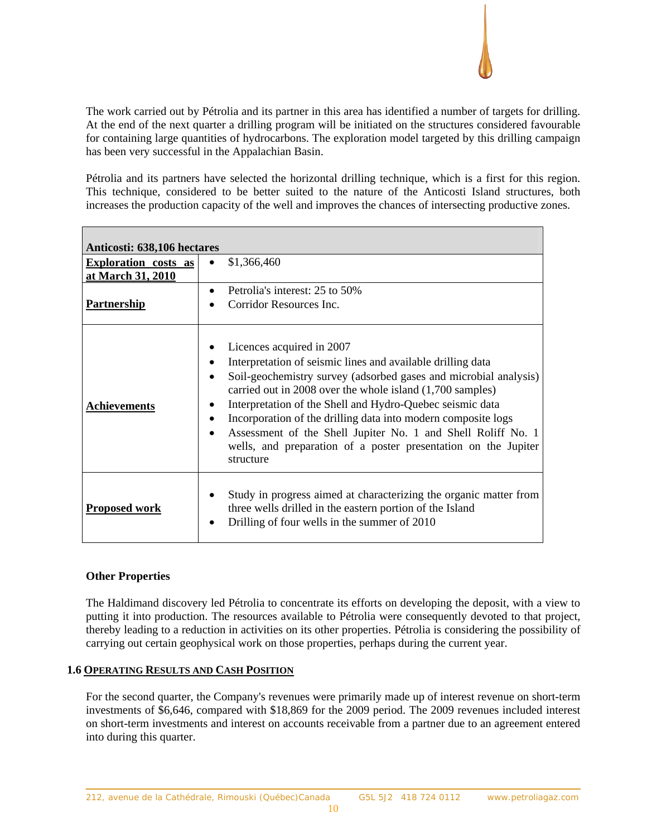

The work carried out by Pétrolia and its partner in this area has identified a number of targets for drilling. At the end of the next quarter a drilling program will be initiated on the structures considered favourable for containing large quantities of hydrocarbons. The exploration model targeted by this drilling campaign has been very successful in the Appalachian Basin.

Pétrolia and its partners have selected the horizontal drilling technique, which is a first for this region. This technique, considered to be better suited to the nature of the Anticosti Island structures, both increases the production capacity of the well and improves the chances of intersecting productive zones.

| Anticosti: 638,106 hectares                      |                                                                                                                                                                                                                                                                                                                                                                                                                                                                                                                     |  |  |  |  |
|--------------------------------------------------|---------------------------------------------------------------------------------------------------------------------------------------------------------------------------------------------------------------------------------------------------------------------------------------------------------------------------------------------------------------------------------------------------------------------------------------------------------------------------------------------------------------------|--|--|--|--|
| <b>Exploration</b> costs as<br>at March 31, 2010 | \$1,366,460<br>$\bullet$                                                                                                                                                                                                                                                                                                                                                                                                                                                                                            |  |  |  |  |
| <b>Partnership</b>                               | Petrolia's interest: 25 to 50%<br>Corridor Resources Inc.                                                                                                                                                                                                                                                                                                                                                                                                                                                           |  |  |  |  |
| <b>Achievements</b>                              | Licences acquired in 2007<br>Interpretation of seismic lines and available drilling data<br>Soil-geochemistry survey (adsorbed gases and microbial analysis)<br>carried out in 2008 over the whole island (1,700 samples)<br>Interpretation of the Shell and Hydro-Quebec seismic data<br>Incorporation of the drilling data into modern composite logs<br>Assessment of the Shell Jupiter No. 1 and Shell Roliff No. 1<br>$\bullet$<br>wells, and preparation of a poster presentation on the Jupiter<br>structure |  |  |  |  |
| Proposed work                                    | Study in progress aimed at characterizing the organic matter from<br>three wells drilled in the eastern portion of the Island<br>Drilling of four wells in the summer of 2010                                                                                                                                                                                                                                                                                                                                       |  |  |  |  |

# **Other Properties**

The Haldimand discovery led Pétrolia to concentrate its efforts on developing the deposit, with a view to putting it into production. The resources available to Pétrolia were consequently devoted to that project, thereby leading to a reduction in activities on its other properties. Pétrolia is considering the possibility of carrying out certain geophysical work on those properties, perhaps during the current year.

#### **1.6 OPERATING RESULTS AND CASH POSITION**

For the second quarter, the Company's revenues were primarily made up of interest revenue on short-term investments of \$6,646, compared with \$18,869 for the 2009 period. The 2009 revenues included interest on short-term investments and interest on accounts receivable from a partner due to an agreement entered into during this quarter.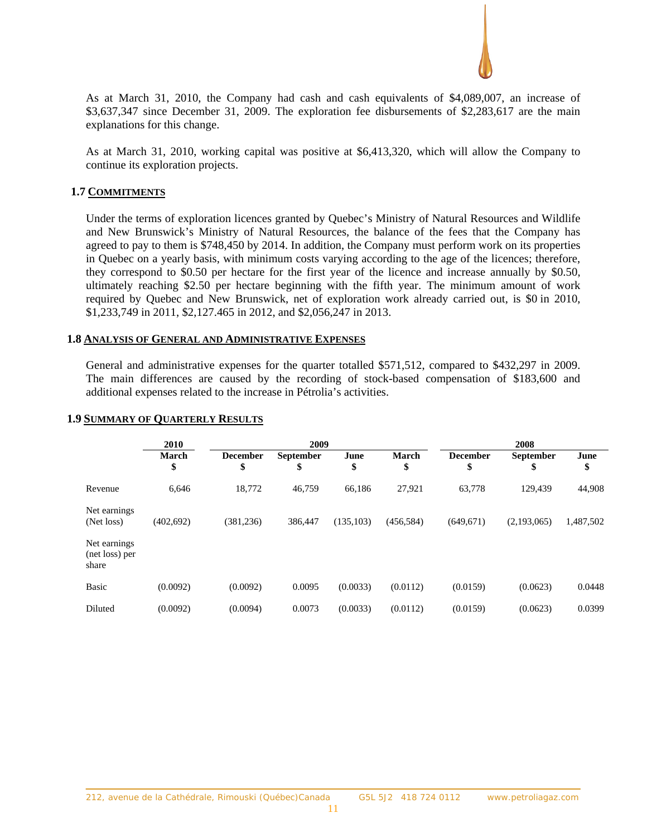

As at March 31, 2010, the Company had cash and cash equivalents of \$4,089,007, an increase of \$3,637,347 since December 31, 2009. The exploration fee disbursements of \$2,283,617 are the main explanations for this change.

As at March 31, 2010, working capital was positive at \$6,413,320, which will allow the Company to continue its exploration projects.

#### **1.7 COMMITMENTS**

Under the terms of exploration licences granted by Quebec's Ministry of Natural Resources and Wildlife and New Brunswick's Ministry of Natural Resources, the balance of the fees that the Company has agreed to pay to them is \$748,450 by 2014. In addition, the Company must perform work on its properties in Quebec on a yearly basis, with minimum costs varying according to the age of the licences; therefore, they correspond to \$0.50 per hectare for the first year of the licence and increase annually by \$0.50, ultimately reaching \$2.50 per hectare beginning with the fifth year. The minimum amount of work required by Quebec and New Brunswick, net of exploration work already carried out, is \$0 in 2010, \$1,233,749 in 2011, \$2,127.465 in 2012, and \$2,056,247 in 2013.

#### **1.8 ANALYSIS OF GENERAL AND ADMINISTRATIVE EXPENSES**

General and administrative expenses for the quarter totalled \$571,512, compared to \$432,297 in 2009. The main differences are caused by the recording of stock-based compensation of \$183,600 and additional expenses related to the increase in Pétrolia's activities.

|                                         | 2010        | 2009                  |                        |            | 2008               |                       |                        |            |
|-----------------------------------------|-------------|-----------------------|------------------------|------------|--------------------|-----------------------|------------------------|------------|
|                                         | March<br>\$ | <b>December</b><br>\$ | <b>September</b><br>\$ | June<br>\$ | <b>March</b><br>\$ | <b>December</b><br>\$ | <b>September</b><br>\$ | June<br>\$ |
| Revenue                                 | 6,646       | 18,772                | 46,759                 | 66,186     | 27,921             | 63,778                | 129,439                | 44,908     |
| Net earnings<br>(Net loss)              | (402, 692)  | (381, 236)            | 386,447                | (135, 103) | (456, 584)         | (649, 671)            | (2,193,065)            | 1,487,502  |
| Net earnings<br>(net loss) per<br>share |             |                       |                        |            |                    |                       |                        |            |
| <b>Basic</b>                            | (0.0092)    | (0.0092)              | 0.0095                 | (0.0033)   | (0.0112)           | (0.0159)              | (0.0623)               | 0.0448     |
| Diluted                                 | (0.0092)    | (0.0094)              | 0.0073                 | (0.0033)   | (0.0112)           | (0.0159)              | (0.0623)               | 0.0399     |

#### **1.9 SUMMARY OF QUARTERLY RESULTS**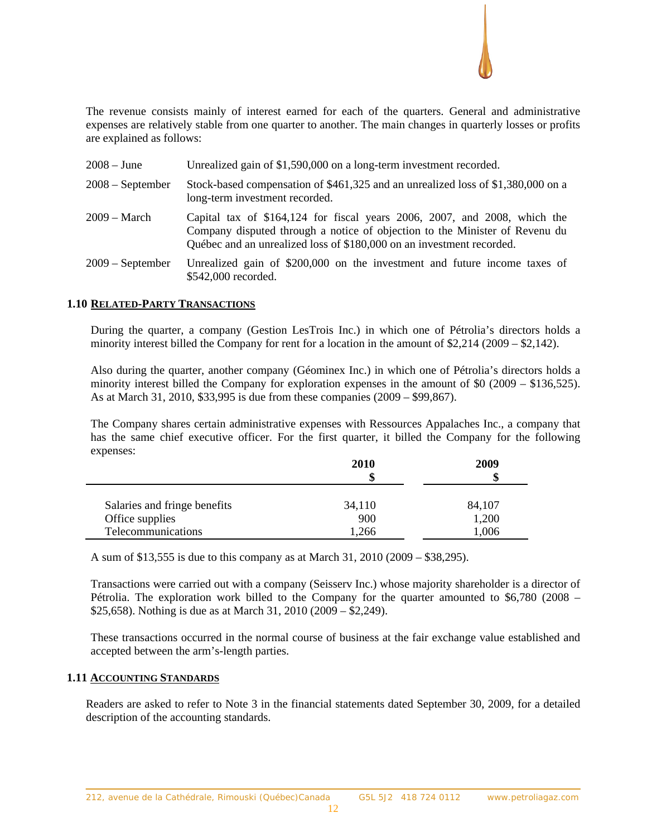

The revenue consists mainly of interest earned for each of the quarters. General and administrative expenses are relatively stable from one quarter to another. The main changes in quarterly losses or profits are explained as follows:

| $2008 - June$      | Unrealized gain of \$1,590,000 on a long-term investment recorded.                                                                                                                                                                |
|--------------------|-----------------------------------------------------------------------------------------------------------------------------------------------------------------------------------------------------------------------------------|
| $2008$ – September | Stock-based compensation of \$461,325 and an unrealized loss of \$1,380,000 on a<br>long-term investment recorded.                                                                                                                |
| $2009 - March$     | Capital tax of \$164,124 for fiscal years 2006, 2007, and 2008, which the<br>Company disputed through a notice of objection to the Minister of Revenu du<br>Québec and an unrealized loss of \$180,000 on an investment recorded. |
| $2009$ – September | Unrealized gain of \$200,000 on the investment and future income taxes of<br>\$542,000 recorded.                                                                                                                                  |

#### **1.10 RELATED-PARTY TRANSACTIONS**

During the quarter, a company (Gestion LesTrois Inc.) in which one of Pétrolia's directors holds a minority interest billed the Company for rent for a location in the amount of \$2,214 (2009 – \$2,142).

Also during the quarter, another company (Géominex Inc.) in which one of Pétrolia's directors holds a minority interest billed the Company for exploration expenses in the amount of \$0 (2009 – \$136,525). As at March 31, 2010, \$33,995 is due from these companies (2009 – \$99,867).

The Company shares certain administrative expenses with Ressources Appalaches Inc., a company that has the same chief executive officer. For the first quarter, it billed the Company for the following expenses:

|                              | <b>2010</b><br>\$ | <b>2009</b><br>S |  |
|------------------------------|-------------------|------------------|--|
| Salaries and fringe benefits | 34,110            | 84,107           |  |
| Office supplies              | 900               | 1,200            |  |
| Telecommunications           | .266              | 1,006            |  |

A sum of \$13,555 is due to this company as at March 31, 2010 (2009 – \$38,295).

Transactions were carried out with a company (Seisserv Inc.) whose majority shareholder is a director of Pétrolia. The exploration work billed to the Company for the quarter amounted to \$6,780 (2008 – \$25,658). Nothing is due as at March 31, 2010 (2009 – \$2,249).

These transactions occurred in the normal course of business at the fair exchange value established and accepted between the arm's-length parties.

### **1.11 ACCOUNTING STANDARDS**

Readers are asked to refer to Note 3 in the financial statements dated September 30, 2009, for a detailed description of the accounting standards.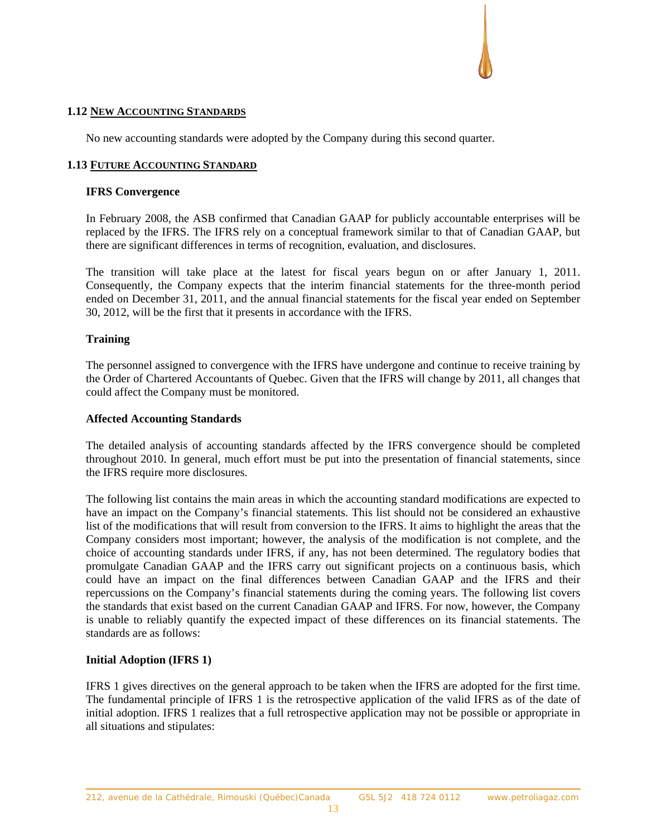#### **1.12 NEW ACCOUNTING STANDARDS**

No new accounting standards were adopted by the Company during this second quarter.

#### **1.13 FUTURE ACCOUNTING STANDARD**

#### **IFRS Convergence**

In February 2008, the ASB confirmed that Canadian GAAP for publicly accountable enterprises will be replaced by the IFRS. The IFRS rely on a conceptual framework similar to that of Canadian GAAP, but there are significant differences in terms of recognition, evaluation, and disclosures.

The transition will take place at the latest for fiscal years begun on or after January 1, 2011. Consequently, the Company expects that the interim financial statements for the three-month period ended on December 31, 2011, and the annual financial statements for the fiscal year ended on September 30, 2012, will be the first that it presents in accordance with the IFRS.

#### **Training**

The personnel assigned to convergence with the IFRS have undergone and continue to receive training by the Order of Chartered Accountants of Quebec. Given that the IFRS will change by 2011, all changes that could affect the Company must be monitored.

#### **Affected Accounting Standards**

The detailed analysis of accounting standards affected by the IFRS convergence should be completed throughout 2010. In general, much effort must be put into the presentation of financial statements, since the IFRS require more disclosures.

The following list contains the main areas in which the accounting standard modifications are expected to have an impact on the Company's financial statements. This list should not be considered an exhaustive list of the modifications that will result from conversion to the IFRS. It aims to highlight the areas that the Company considers most important; however, the analysis of the modification is not complete, and the choice of accounting standards under IFRS, if any, has not been determined. The regulatory bodies that promulgate Canadian GAAP and the IFRS carry out significant projects on a continuous basis, which could have an impact on the final differences between Canadian GAAP and the IFRS and their repercussions on the Company's financial statements during the coming years. The following list covers the standards that exist based on the current Canadian GAAP and IFRS. For now, however, the Company is unable to reliably quantify the expected impact of these differences on its financial statements. The standards are as follows:

# **Initial Adoption (IFRS 1)**

IFRS 1 gives directives on the general approach to be taken when the IFRS are adopted for the first time. The fundamental principle of IFRS 1 is the retrospective application of the valid IFRS as of the date of initial adoption. IFRS 1 realizes that a full retrospective application may not be possible or appropriate in all situations and stipulates: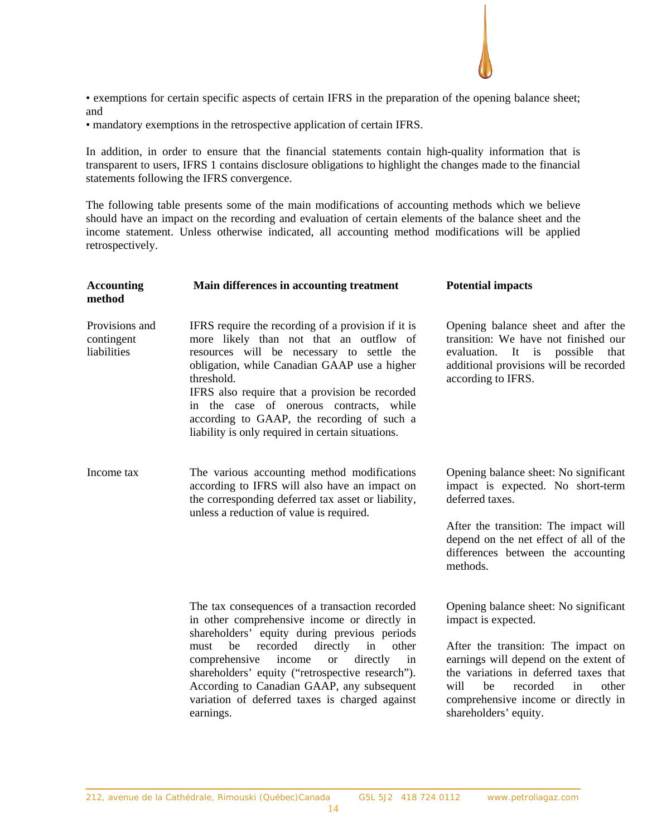

• exemptions for certain specific aspects of certain IFRS in the preparation of the opening balance sheet; and

• mandatory exemptions in the retrospective application of certain IFRS.

In addition, in order to ensure that the financial statements contain high-quality information that is transparent to users, IFRS 1 contains disclosure obligations to highlight the changes made to the financial statements following the IFRS convergence.

The following table presents some of the main modifications of accounting methods which we believe should have an impact on the recording and evaluation of certain elements of the balance sheet and the income statement. Unless otherwise indicated, all accounting method modifications will be applied retrospectively.

| <b>Accounting</b><br>method                 | Main differences in accounting treatment                                                                                                                                                                                                                                                                                                                                                                                       | <b>Potential impacts</b>                                                                                                                                                                                                                                                                       |
|---------------------------------------------|--------------------------------------------------------------------------------------------------------------------------------------------------------------------------------------------------------------------------------------------------------------------------------------------------------------------------------------------------------------------------------------------------------------------------------|------------------------------------------------------------------------------------------------------------------------------------------------------------------------------------------------------------------------------------------------------------------------------------------------|
| Provisions and<br>contingent<br>liabilities | IFRS require the recording of a provision if it is<br>more likely than not that an outflow of<br>resources will be necessary to settle the<br>obligation, while Canadian GAAP use a higher<br>threshold.<br>IFRS also require that a provision be recorded<br>in the case of onerous contracts, while<br>according to GAAP, the recording of such a<br>liability is only required in certain situations.                       | Opening balance sheet and after the<br>transition: We have not finished our<br>evaluation. It is<br>possible<br>that<br>additional provisions will be recorded<br>according to IFRS.                                                                                                           |
| Income tax                                  | The various accounting method modifications<br>according to IFRS will also have an impact on<br>the corresponding deferred tax asset or liability,<br>unless a reduction of value is required.                                                                                                                                                                                                                                 | Opening balance sheet: No significant<br>impact is expected. No short-term<br>deferred taxes.<br>After the transition: The impact will<br>depend on the net effect of all of the<br>differences between the accounting<br>methods.                                                             |
|                                             | The tax consequences of a transaction recorded<br>in other comprehensive income or directly in<br>shareholders' equity during previous periods<br>recorded<br>be<br>directly<br>in<br>other<br>must<br>income<br>in<br>comprehensive<br>directly<br><b>or</b><br>shareholders' equity ("retrospective research").<br>According to Canadian GAAP, any subsequent<br>variation of deferred taxes is charged against<br>earnings. | Opening balance sheet: No significant<br>impact is expected.<br>After the transition: The impact on<br>earnings will depend on the extent of<br>the variations in deferred taxes that<br>will<br>recorded<br>he<br>other<br>in<br>comprehensive income or directly in<br>shareholders' equity. |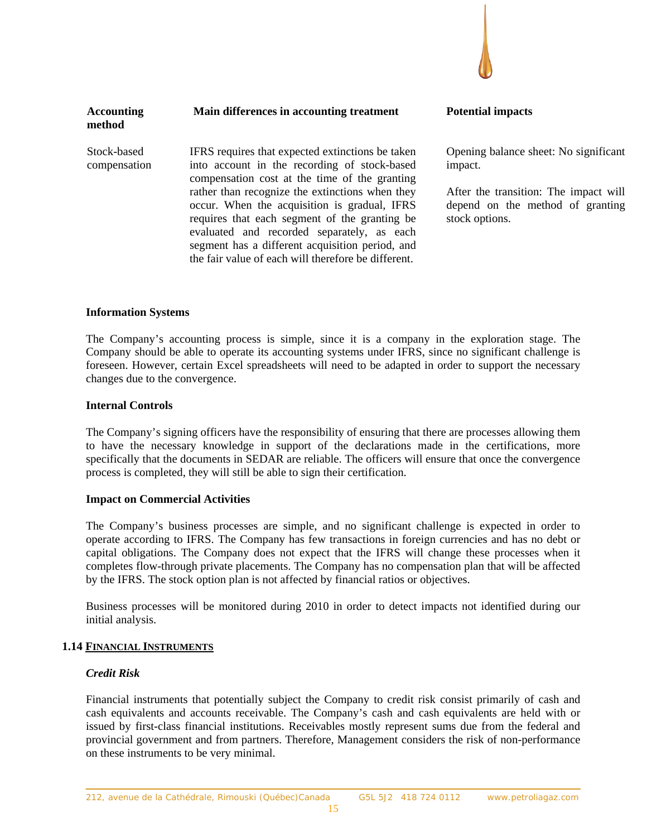

| <b>Accounting</b><br>method | Main differences in accounting treatment                                                                                                                                                                                                              | <b>Potential impacts</b>                                                                  |
|-----------------------------|-------------------------------------------------------------------------------------------------------------------------------------------------------------------------------------------------------------------------------------------------------|-------------------------------------------------------------------------------------------|
| Stock-based<br>compensation | IFRS requires that expected extinctions be taken<br>into account in the recording of stock-based<br>compensation cost at the time of the granting<br>rather than recognize the extinctions when they                                                  | Opening balance sheet: No significant<br>impact.<br>After the transition: The impact will |
|                             | occur. When the acquisition is gradual, IFRS<br>requires that each segment of the granting be<br>evaluated and recorded separately, as each<br>segment has a different acquisition period, and<br>the fair value of each will therefore be different. | depend on the method of granting<br>stock options.                                        |

#### **Information Systems**

The Company's accounting process is simple, since it is a company in the exploration stage. The Company should be able to operate its accounting systems under IFRS, since no significant challenge is foreseen. However, certain Excel spreadsheets will need to be adapted in order to support the necessary changes due to the convergence.

#### **Internal Controls**

The Company's signing officers have the responsibility of ensuring that there are processes allowing them to have the necessary knowledge in support of the declarations made in the certifications, more specifically that the documents in SEDAR are reliable. The officers will ensure that once the convergence process is completed, they will still be able to sign their certification.

#### **Impact on Commercial Activities**

The Company's business processes are simple, and no significant challenge is expected in order to operate according to IFRS. The Company has few transactions in foreign currencies and has no debt or capital obligations. The Company does not expect that the IFRS will change these processes when it completes flow-through private placements. The Company has no compensation plan that will be affected by the IFRS. The stock option plan is not affected by financial ratios or objectives.

Business processes will be monitored during 2010 in order to detect impacts not identified during our initial analysis.

#### **1.14 FINANCIAL INSTRUMENTS**

#### *Credit Risk*

Financial instruments that potentially subject the Company to credit risk consist primarily of cash and cash equivalents and accounts receivable. The Company's cash and cash equivalents are held with or issued by first-class financial institutions. Receivables mostly represent sums due from the federal and provincial government and from partners. Therefore, Management considers the risk of non-performance on these instruments to be very minimal.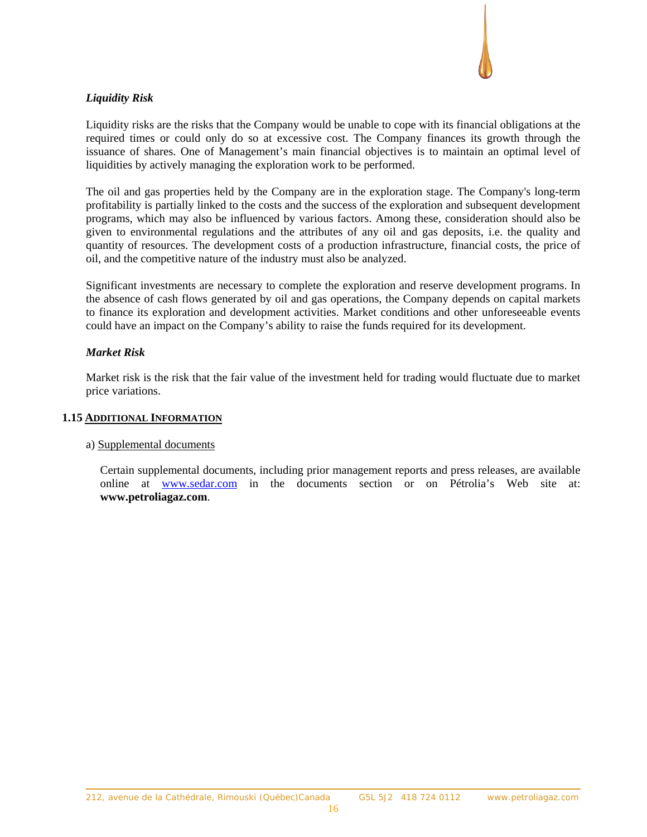

# *Liquidity Risk*

Liquidity risks are the risks that the Company would be unable to cope with its financial obligations at the required times or could only do so at excessive cost. The Company finances its growth through the issuance of shares. One of Management's main financial objectives is to maintain an optimal level of liquidities by actively managing the exploration work to be performed.

The oil and gas properties held by the Company are in the exploration stage. The Company's long-term profitability is partially linked to the costs and the success of the exploration and subsequent development programs, which may also be influenced by various factors. Among these, consideration should also be given to environmental regulations and the attributes of any oil and gas deposits, i.e. the quality and quantity of resources. The development costs of a production infrastructure, financial costs, the price of oil, and the competitive nature of the industry must also be analyzed.

Significant investments are necessary to complete the exploration and reserve development programs. In the absence of cash flows generated by oil and gas operations, the Company depends on capital markets to finance its exploration and development activities. Market conditions and other unforeseeable events could have an impact on the Company's ability to raise the funds required for its development.

# *Market Risk*

Market risk is the risk that the fair value of the investment held for trading would fluctuate due to market price variations.

#### **1.15 ADDITIONAL INFORMATION**

#### a) Supplemental documents

Certain supplemental documents, including prior management reports and press releases, are available online at www.sedar.com in the documents section or on Pétrolia's Web site at: **www.petroliagaz.com**.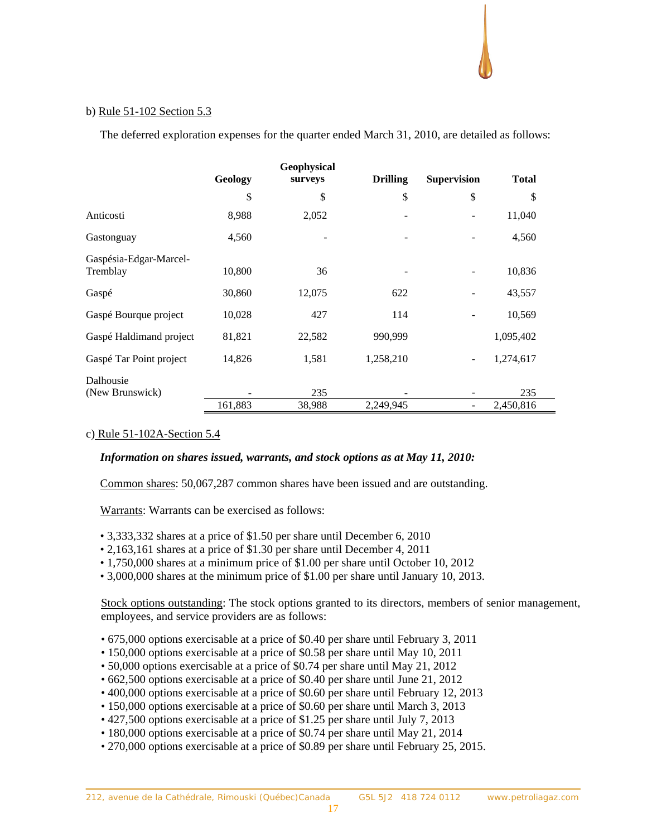#### b) Rule 51-102 Section 5.3

The deferred exploration expenses for the quarter ended March 31, 2010, are detailed as follows:

|                                    |         | Geophysical |                 |                    |              |
|------------------------------------|---------|-------------|-----------------|--------------------|--------------|
|                                    | Geology | surveys     | <b>Drilling</b> | <b>Supervision</b> | <b>Total</b> |
|                                    | \$      | \$          | \$              | \$                 | \$           |
| Anticosti                          | 8,988   | 2,052       |                 |                    | 11,040       |
| Gastonguay                         | 4,560   |             |                 |                    | 4,560        |
| Gaspésia-Edgar-Marcel-<br>Tremblay | 10,800  | 36          |                 |                    | 10,836       |
|                                    |         |             |                 |                    |              |
| Gaspé                              | 30,860  | 12,075      | 622             |                    | 43,557       |
| Gaspé Bourque project              | 10,028  | 427         | 114             |                    | 10,569       |
| Gaspé Haldimand project            | 81,821  | 22,582      | 990,999         |                    | 1,095,402    |
| Gaspé Tar Point project            | 14,826  | 1,581       | 1,258,210       |                    | 1,274,617    |
| Dalhousie                          |         |             |                 |                    |              |
| (New Brunswick)                    |         | 235         |                 |                    | 235          |
|                                    | 161,883 | 38,988      | 2,249,945       |                    | 2,450,816    |

# c) Rule 51-102A-Section 5.4

#### *Information on shares issued, warrants, and stock options as at May 11, 2010:*

Common shares: 50,067,287 common shares have been issued and are outstanding.

Warrants: Warrants can be exercised as follows:

- 3,333,332 shares at a price of \$1.50 per share until December 6, 2010
- 2,163,161 shares at a price of \$1.30 per share until December 4, 2011
- 1,750,000 shares at a minimum price of \$1.00 per share until October 10, 2012
- 3,000,000 shares at the minimum price of \$1.00 per share until January 10, 2013.

Stock options outstanding: The stock options granted to its directors, members of senior management, employees, and service providers are as follows:

- 675,000 options exercisable at a price of \$0.40 per share until February 3, 2011
- 150,000 options exercisable at a price of \$0.58 per share until May 10, 2011
- 50,000 options exercisable at a price of \$0.74 per share until May 21, 2012
- 662,500 options exercisable at a price of \$0.40 per share until June 21, 2012
- 400,000 options exercisable at a price of \$0.60 per share until February 12, 2013
- 150,000 options exercisable at a price of \$0.60 per share until March 3, 2013
- 427,500 options exercisable at a price of \$1.25 per share until July 7, 2013
- 180,000 options exercisable at a price of \$0.74 per share until May 21, 2014
- 270,000 options exercisable at a price of \$0.89 per share until February 25, 2015.